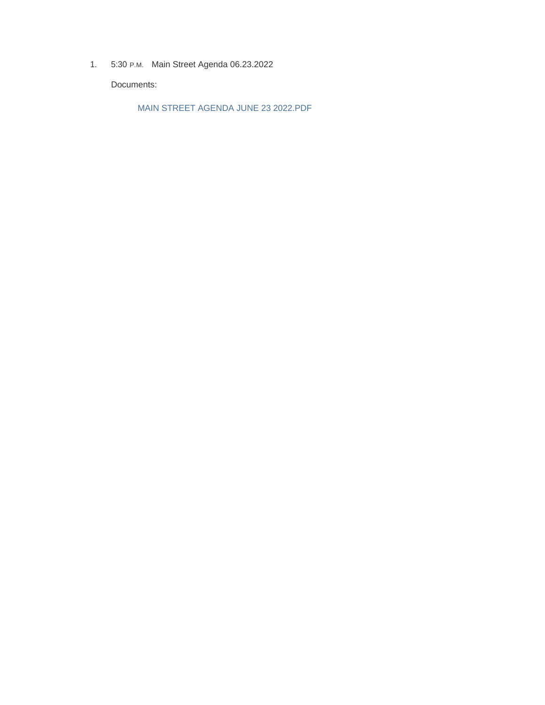1. 5:30 P.M. Main Street Agenda 06.23.2022

Documents:

MAIN STREET AGENDA JUNE 23 2022.PDF